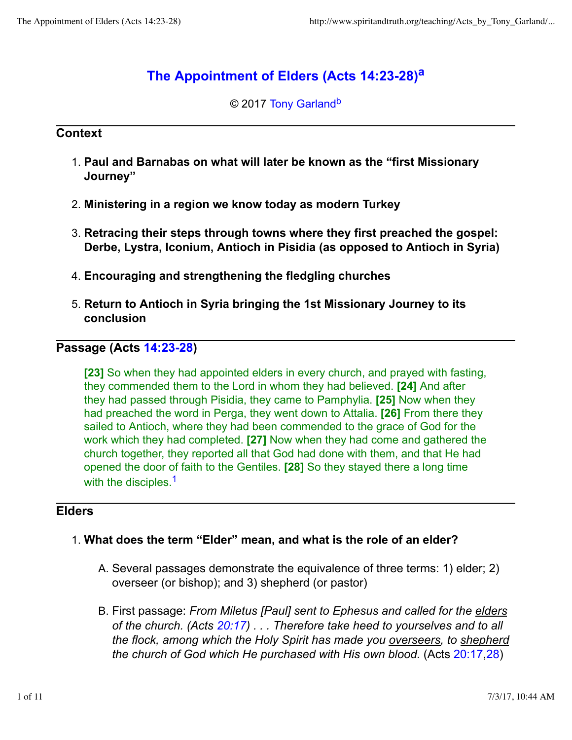# **The Appointment of Elders (Acts 14:23-28)<sup>a</sup>**

© 2017 Tony Garland<sup>b</sup>

## **Context**

- **Paul and Barnabas on what will later be known as the "first Missionary** 1. **Journey"**
- 2. **Ministering in a region we know today as modern Turkey**
- **Retracing their steps through towns where they first preached the gospel:** 3. **Derbe, Lystra, Iconium, Antioch in Pisidia (as opposed to Antioch in Syria)**
- 4. **Encouraging and strengthening the fledgling churches**
- **Return to Antioch in Syria bringing the 1st Missionary Journey to its** 5. **conclusion**

# **Passage (Acts 14:23-28)**

**[23]** So when they had appointed elders in every church, and prayed with fasting, they commended them to the Lord in whom they had believed. **[24]** And after they had passed through Pisidia, they came to Pamphylia. **[25]** Now when they had preached the word in Perga, they went down to Attalia. **[26]** From there they sailed to Antioch, where they had been commended to the grace of God for the work which they had completed. **[27]** Now when they had come and gathered the church together, they reported all that God had done with them, and that He had opened the door of faith to the Gentiles. **[28]** So they stayed there a long time with the disciples.<sup>1</sup>

# **Elders**

# 1. **What does the term "Elder" mean, and what is the role of an elder?**

- A. Several passages demonstrate the equivalence of three terms: 1) elder; 2) overseer (or bishop); and 3) shepherd (or pastor)
- B. First passage: *From Miletus [Paul] sent to Ephesus and called for the <u>elders</u> of the church. (Acts 20:17) . . . Therefore take heed to yourselves and to all the flock, among which the Holy Spirit has made you overseers, to shepherd the church of God which He purchased with His own blood.* (Acts 20:17,28)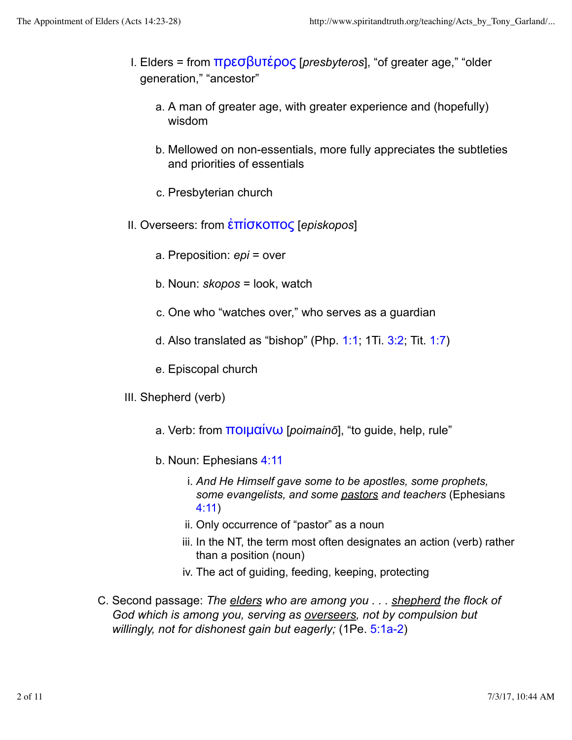- Elders = from πρεσβυτέρος [*presbyteros*], "of greater age," "older I. generation," "ancestor"
	- a. A man of greater age, with greater experience and (hopefully) wisdom
	- Mellowed on non-essentials, more fully appreciates the subtleties b. and priorities of essentials
	- c. Presbyterian church
- II. Overseers: from ἐπίσκοπος [*episkopos*]
	- a. Preposition: *epi* = over
	- b. Noun: *skopos* = look, watch
	- c. One who "watches over," who serves as a guardian
	- d. Also translated as "bishop" (Php.  $1:1$ ; 1Ti.  $3:2$ ; Tit.  $1:7$ )
	- e. Episcopal church
- III. Shepherd (verb)
	- a. Verb: from ποιμαίνω [*poimainō*], "to guide, help, rule"
	- b. Noun: Ephesians 4:11
		- *And He Himself gave some to be apostles, some prophets,* i. *some evangelists, and some pastors and teachers* (Ephesians 4:11)
		- ii. Only occurrence of "pastor" as a noun
		- iii. In the NT, the term most often designates an action (verb) rather than a position (noun)
		- iv. The act of guiding, feeding, keeping, protecting
- C. Second passage: *The <u>elders</u> who are among you . . . <u>shepherd</u> the flock of God which is among you, serving as overseers, not by compulsion but willingly, not for dishonest gain but eagerly;* (1Pe. 5:1a-2)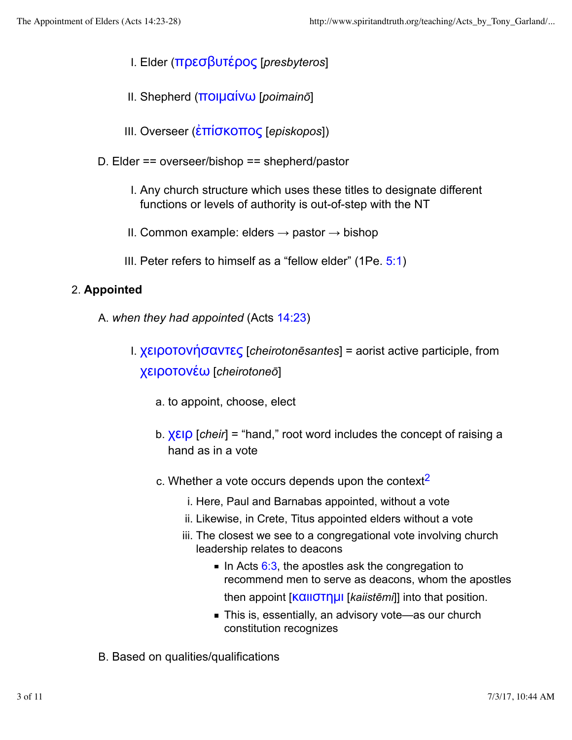- I. Elder (πρεσβυτέρος [*presbyteros*]
- II. Shepherd (ποιμαίνω [*poimainō*]
- III. Overseer (ἐπίσκοπος [*episkopos*])
- D. Elder == overseer/bishop == shepherd/pastor
	- I. Any church structure which uses these titles to designate different functions or levels of authority is out-of-step with the NT
	- II. Common example: elders  $\rightarrow$  pastor  $\rightarrow$  bishop
	- III. Peter refers to himself as a "fellow elder" (1Pe. 5:1)

# 2. **Appointed**

- A. *when they had appointed* (Acts 14:23)
	- χειροτονήσαντες [*cheirotonēsantes*] = aorist active participle, from I. χειροτονέω [*cheirotoneō*]
		- a. to appoint, choose, elect
		- b. **χειρ** [cheir] = "hand," root word includes the concept of raising a hand as in a vote
		- c. Whether a vote occurs depends upon the context<sup>2</sup>
			- i. Here, Paul and Barnabas appointed, without a vote
			- ii. Likewise, in Crete, Titus appointed elders without a vote
			- iii. The closest we see to a congregational vote involving church leadership relates to deacons
				- In Acts  $6:3$ , the apostles ask the congregation to recommend men to serve as deacons, whom the apostles then appoint [καιιστημι [*kaiistēmi*]] into that position.
				- This is, essentially, an advisory vote—as our church constitution recognizes
- B. Based on qualities/qualifications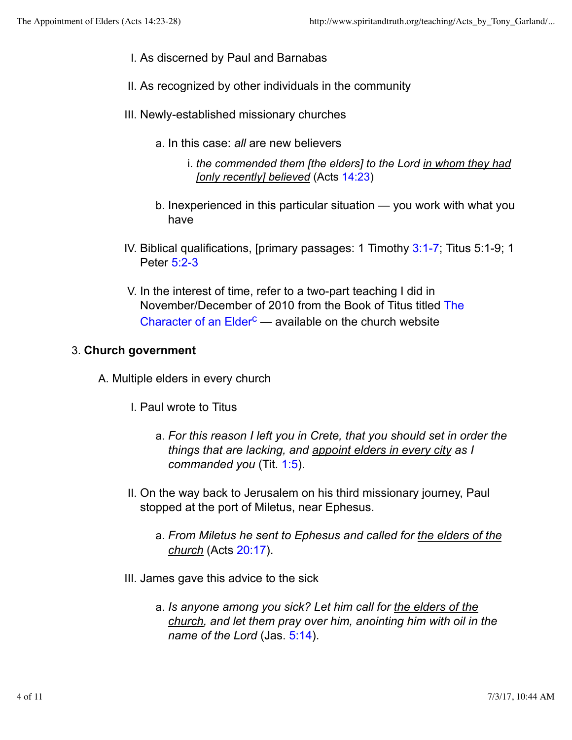- I. As discerned by Paul and Barnabas
- II. As recognized by other individuals in the community
- III. Newly-established missionary churches
	- a. In this case: *all* are new believers
		- *the commended them [the elders] to the Lord in whom they had* i. *[only recently] believed* (Acts 14:23)
	- b. Inexperienced in this particular situation you work with what you have
- IV. Biblical qualifications, [primary passages: 1 Timothy 3:1-7; Titus 5:1-9; 1 Peter 5:2-3
- V. In the interest of time, refer to a two-part teaching I did in November/December of 2010 from the Book of Titus titled The Character of an Elder<sup>c</sup> — available on the church website

## 3. **Church government**

- A. Multiple elders in every church
	- I. Paul wrote to Titus
		- *For this reason I left you in Crete, that you should set in order the* a. *things that are lacking, and appoint elders in every city as I commanded you* (Tit. 1:5).
	- On the way back to Jerusalem on his third missionary journey, Paul II. stopped at the port of Miletus, near Ephesus.
		- *From Miletus he sent to Ephesus and called for the elders of the* a. *church* (Acts 20:17).
	- III. James gave this advice to the sick
		- *Is anyone among you sick? Let him call for the elders of the* a. *church, and let them pray over him, anointing him with oil in the name of the Lord* (Jas. 5:14).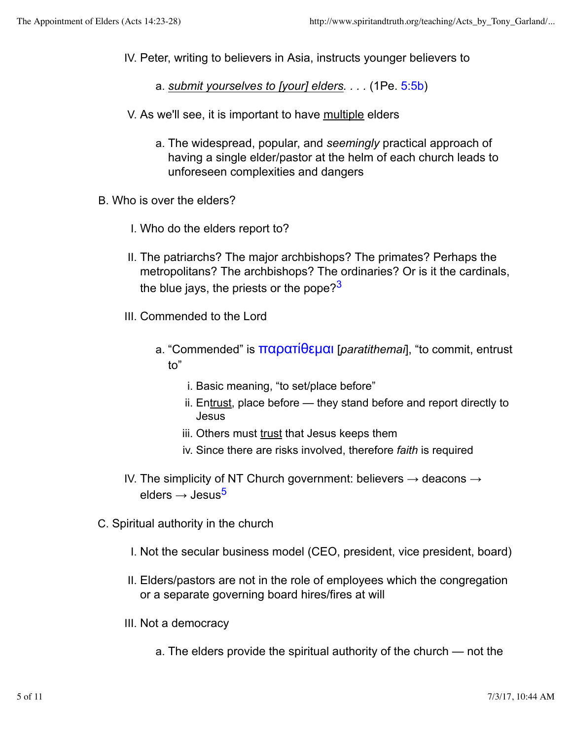- IV. Peter, writing to believers in Asia, instructs younger believers to
	- a. *submit yourselves to [your] elders. . . .* (1Pe. 5:5b)
- V. As we'll see, it is important to have multiple elders
	- a. The widespread, popular, and seemingly practical approach of having a single elder/pastor at the helm of each church leads to unforeseen complexities and dangers
- B. Who is over the elders?
	- I. Who do the elders report to?
	- II. The patriarchs? The major archbishops? The primates? Perhaps the metropolitans? The archbishops? The ordinaries? Or is it the cardinals, the blue jays, the priests or the pope? $3^3$
	- III. Commended to the Lord
		- a. "Commended" is <mark>παρατίθεμαι</mark> [*paratithemai*], "to commit, entrust to"
			- i. Basic meaning, "to set/place before"
			- ii. En<u>trust,</u> place before they stand before and report directly to Jesus
			- iii. Others must trust that Jesus keeps them
			- iv. Since there are risks involved, therefore *faith* is required
	- IV. The simplicity of NT Church government: believers  $\rightarrow$  deacons  $\rightarrow$ elders  $\rightarrow$  Jesus<sup>5</sup>
- C. Spiritual authority in the church
	- I. Not the secular business model (CEO, president, vice president, board)
	- Elders/pastors are not in the role of employees which the congregation II. or a separate governing board hires/fires at will
	- III. Not a democracy
		- a. The elders provide the spiritual authority of the church not the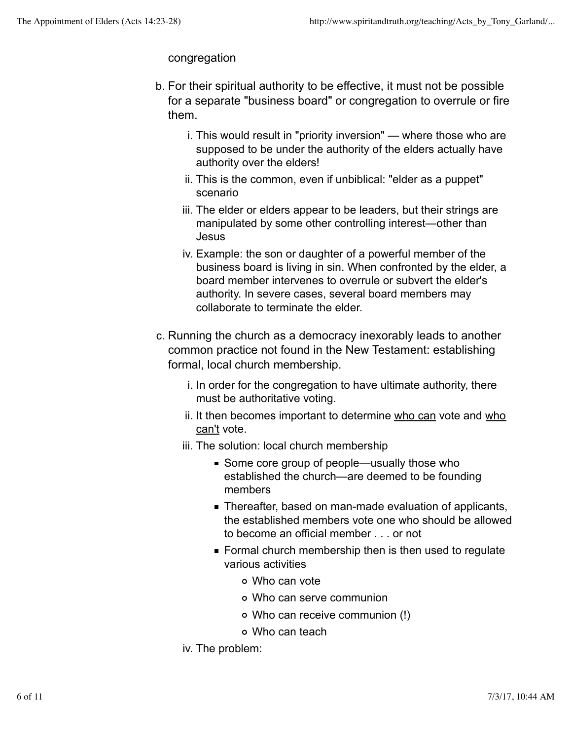## congregation

- b. For their spiritual authority to be effective, it must not be possible for a separate "business board" or congregation to overrule or fire them.
	- i. This would result in "priority inversion" where those who are supposed to be under the authority of the elders actually have authority over the elders!
	- ii. This is the common, even if unbiblical: "elder as a puppet" scenario
	- iii. The elder or elders appear to be leaders, but their strings are manipulated by some other controlling interest—other than Jesus
	- iv. Example: the son or daughter of a powerful member of the business board is living in sin. When confronted by the elder, a board member intervenes to overrule or subvert the elder's authority. In severe cases, several board members may collaborate to terminate the elder.
- c. Running the church as a democracy inexorably leads to another common practice not found in the New Testament: establishing formal, local church membership.
	- i. In order for the congregation to have ultimate authority, there must be authoritative voting.
	- ii. It then becomes important to determine <u>who can</u> vote and <u>who</u> can't vote.
	- iii. The solution: local church membership
		- Some core group of people—usually those who established the church—are deemed to be founding members
		- Thereafter, based on man-made evaluation of applicants, the established members vote one who should be allowed to become an official member . . . or not
		- Formal church membership then is then used to regulate various activities
			- Who can vote
			- Who can serve communion
			- Who can receive communion (!)
			- Who can teach
	- iv. The problem: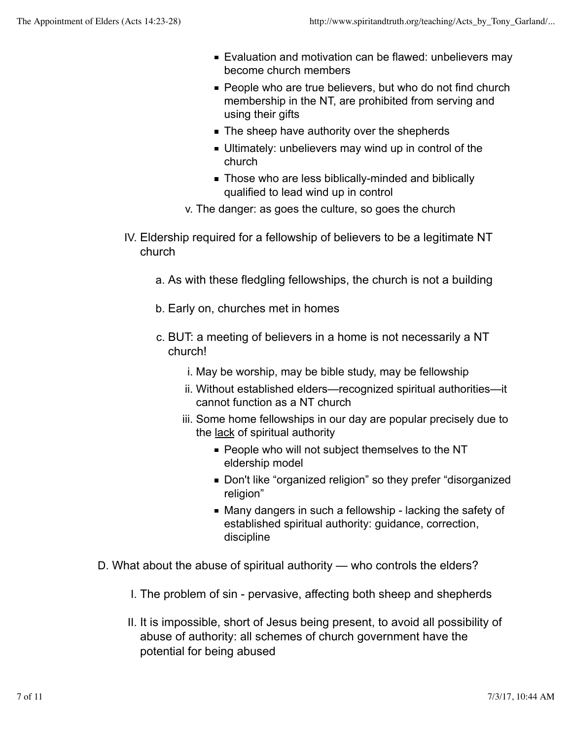- Evaluation and motivation can be flawed: unbelievers may become church members
- **People who are true believers, but who do not find church** membership in the NT, are prohibited from serving and using their gifts
- The sheep have authority over the shepherds
- Ultimately: unbelievers may wind up in control of the church
- Those who are less biblically-minded and biblically qualified to lead wind up in control
- v. The danger: as goes the culture, so goes the church
- Eldership required for a fellowship of believers to be a legitimate NT IV. church
	- a. As with these fledgling fellowships, the church is not a building
	- b. Early on, churches met in homes
	- c. BUT: a meeting of believers in a home is not necessarily a NT church!
		- i. May be worship, may be bible study, may be fellowship
		- ii. Without established elders—recognized spiritual authorities—it cannot function as a NT church
		- iii. Some home fellowships in our day are popular precisely due to the lack of spiritual authority
			- **People who will not subject themselves to the NT** eldership model
			- Don't like "organized religion" so they prefer "disorganized religion"
			- Many dangers in such a fellowship lacking the safety of established spiritual authority: guidance, correction, discipline
- D. What about the abuse of spiritual authority who controls the elders?
	- I. The problem of sin pervasive, affecting both sheep and shepherds
	- II. It is impossible, short of Jesus being present, to avoid all possibility of abuse of authority: all schemes of church government have the potential for being abused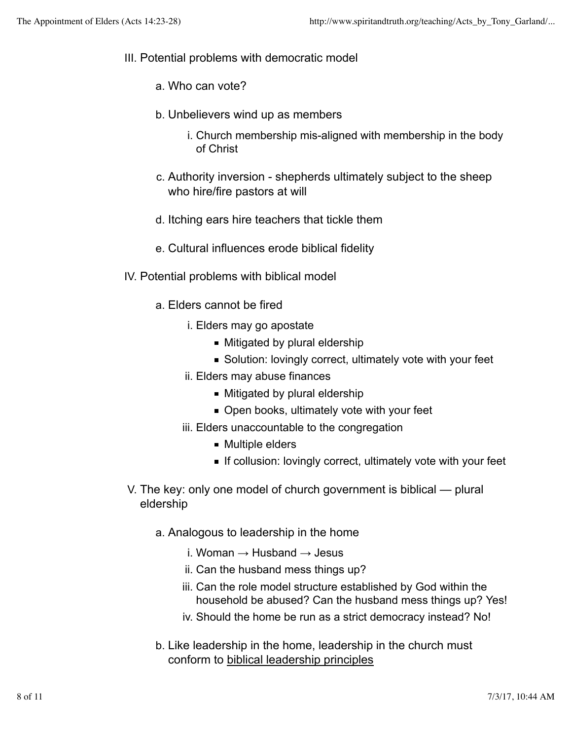- III. Potential problems with democratic model
	- a. Who can vote?
	- b. Unbelievers wind up as members
		- i. Church membership mis-aligned with membership in the body of Christ
	- Authority inversion shepherds ultimately subject to the sheep c. who hire/fire pastors at will
	- d. Itching ears hire teachers that tickle them
	- e. Cultural influences erode biblical fidelity
- IV. Potential problems with biblical model
	- a. Elders cannot be fired
		- i. Elders may go apostate
			- Mitigated by plural eldership
			- Solution: lovingly correct, ultimately vote with your feet
		- ii. Elders may abuse finances
			- Mitigated by plural eldership
			- Open books, ultimately vote with your feet
		- iii. Elders unaccountable to the congregation
			- Multiple elders
			- If collusion: lovingly correct, ultimately vote with your feet
- V. The key: only one model of church government is biblical plural eldership
	- a. Analogous to leadership in the home
		- i. Woman  $\rightarrow$  Husband  $\rightarrow$  Jesus
		- ii. Can the husband mess things up?
		- iii. Can the role model structure established by God within the household be abused? Can the husband mess things up? Yes!
		- iv. Should the home be run as a strict democracy instead? No!
	- b. Like leadership in the home, leadership in the church must conform to biblical leadership principles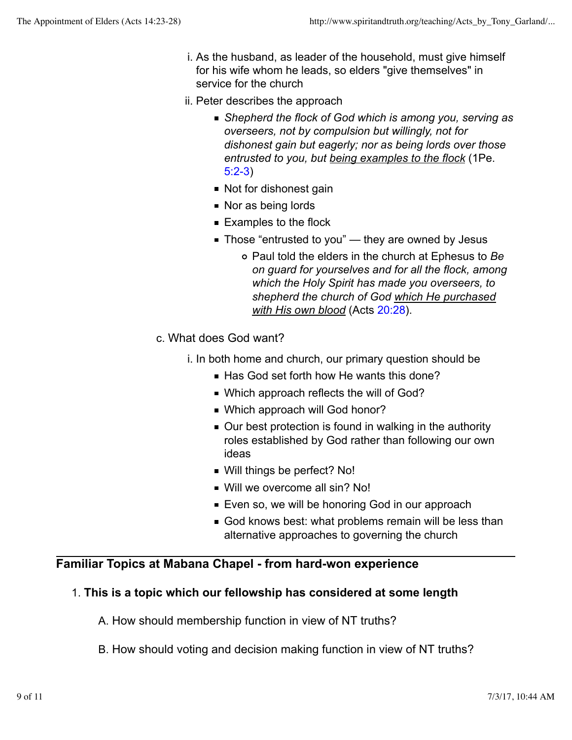- i. As the husband, as leader of the household, must give himself for his wife whom he leads, so elders "give themselves" in service for the church
- ii. Peter describes the approach
	- *Shepherd the flock of God which is among you, serving as overseers, not by compulsion but willingly, not for dishonest gain but eagerly; nor as being lords over those entrusted to you, but being examples to the flock* (1Pe. 5:2-3)
	- Not for dishonest gain
	- Nor as being lords
	- Examples to the flock
	- $\blacksquare$  Those "entrusted to you" they are owned by Jesus
		- Paul told the elders in the church at Ephesus to *Be on guard for yourselves and for all the flock, among which the Holy Spirit has made you overseers, to shepherd the church of God which He purchased with His own blood* (Acts 20:28).
- c. What does God want?
	- i. In both home and church, our primary question should be
		- Has God set forth how He wants this done?
		- Which approach reflects the will of God?
		- Which approach will God honor?
		- Our best protection is found in walking in the authority roles established by God rather than following our own ideas
		- Will things be perfect? No!
		- Will we overcome all sin? No!
		- **Even so, we will be honoring God in our approach**
		- God knows best: what problems remain will be less than alternative approaches to governing the church

# **Familiar Topics at Mabana Chapel - from hard-won experience**

# 1. **This is a topic which our fellowship has considered at some length**

- A. How should membership function in view of NT truths?
- B. How should voting and decision making function in view of NT truths?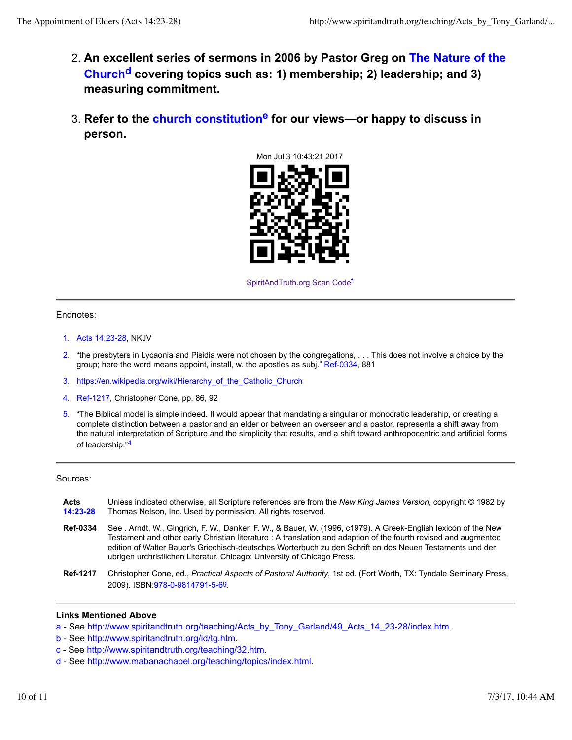- **An excellent series of sermons in 2006 by Pastor Greg on The Nature of the** 2. **Churchd covering topics such as: 1) membership; 2) leadership; and 3) measuring commitment.**
- **Refer to the church constitutione for our views—or happy to discuss in** 3. **person.**



SpiritAndTruth.org Scan Code<sup>f</sup>

### Endnotes:

- 1. Acts 14:23-28, NKJV
- 2. "the presbyters in Lycaonia and Pisidia were not chosen by the congregations, . . . This does not involve a choice by the group; here the word means appoint, install, w. the apostles as subj." Ref-0334, 881
- 3. https://en.wikipedia.org/wiki/Hierarchy\_of\_the\_Catholic\_Church
- 4. Ref-1217, Christopher Cone, pp. 86, 92
- 5. "The Biblical model is simple indeed. It would appear that mandating a singular or monocratic leadership, or creating a complete distinction between a pastor and an elder or between an overseer and a pastor, represents a shift away from the natural interpretation of Scripture and the simplicity that results, and a shift toward anthropocentric and artificial forms of leadership."4

### Sources:

| Acts<br>14:23-28 | Unless indicated otherwise, all Scripture references are from the New King James Version, copyright © 1982 by<br>Thomas Nelson, Inc. Used by permission. All rights reserved.                                                                                                                                                                                                                                            |
|------------------|--------------------------------------------------------------------------------------------------------------------------------------------------------------------------------------------------------------------------------------------------------------------------------------------------------------------------------------------------------------------------------------------------------------------------|
| <b>Ref-0334</b>  | See . Arndt, W., Gingrich, F. W., Danker, F. W., & Bauer, W. (1996, c1979). A Greek-English lexicon of the New<br>Testament and other early Christian literature : A translation and adaption of the fourth revised and augmented<br>edition of Walter Bauer's Griechisch-deutsches Worterbuch zu den Schrift en des Neuen Testaments und der<br>ubrigen urchristlichen Literatur. Chicago: University of Chicago Press. |
| <b>Ref-1217</b>  | Christopher Cone, ed., Practical Aspects of Pastoral Authority, 1st ed. (Fort Worth, TX: Tyndale Seminary Press,<br>2009). ISBN 978-0-9814791-5-69                                                                                                                                                                                                                                                                       |

#### **Links Mentioned Above**

- a See http://www.spiritandtruth.org/teaching/Acts\_by\_Tony\_Garland/49\_Acts\_14\_23-28/index.htm.
- b See http://www.spiritandtruth.org/id/tg.htm.
- c See http://www.spiritandtruth.org/teaching/32.htm.
- d See http://www.mabanachapel.org/teaching/topics/index.html.